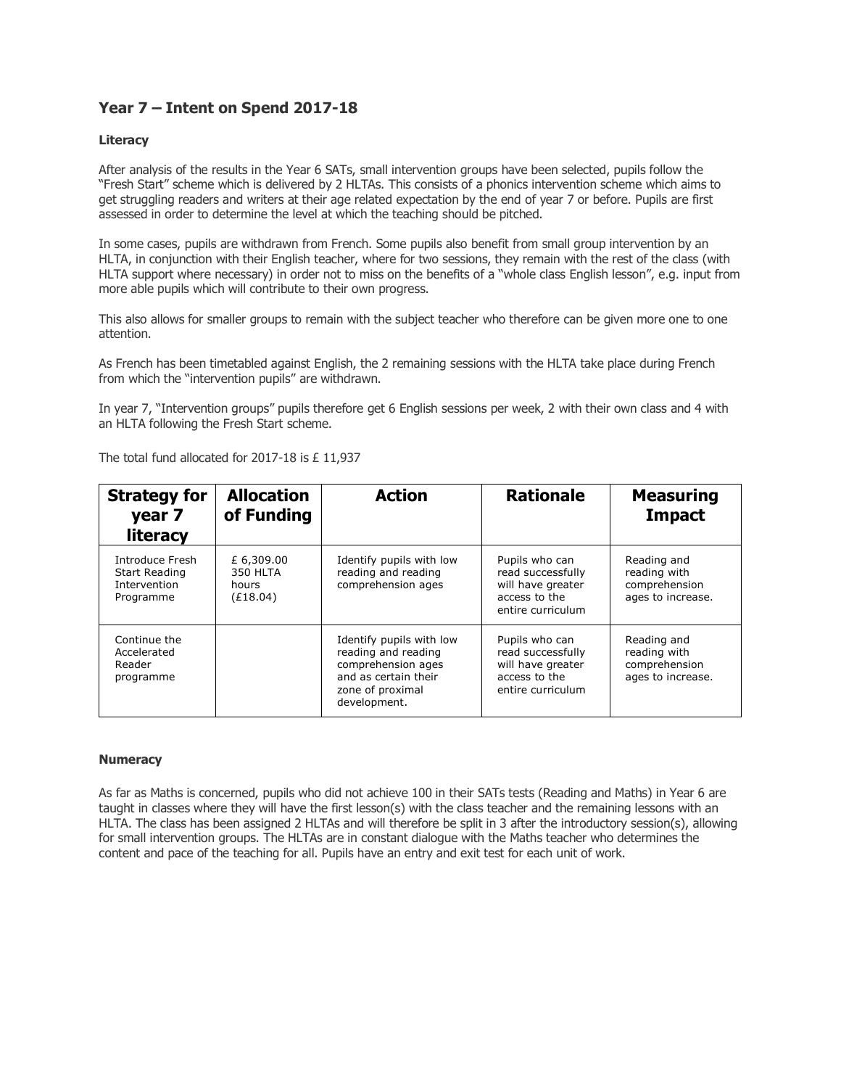# **Year 7 – Intent on Spend 2017-18**

## **Literacy**

After analysis of the results in the Year 6 SATs, small intervention groups have been selected, pupils follow the "Fresh Start" scheme which is delivered by 2 HLTAs. This consists of a phonics intervention scheme which aims to get struggling readers and writers at their age related expectation by the end of year 7 or before. Pupils are first assessed in order to determine the level at which the teaching should be pitched.

In some cases, pupils are withdrawn from French. Some pupils also benefit from small group intervention by an HLTA, in conjunction with their English teacher, where for two sessions, they remain with the rest of the class (with HLTA support where necessary) in order not to miss on the benefits of a "whole class English lesson", e.g. input from more able pupils which will contribute to their own progress.

This also allows for smaller groups to remain with the subject teacher who therefore can be given more one to one attention.

As French has been timetabled against English, the 2 remaining sessions with the HLTA take place during French from which the "intervention pupils" are withdrawn.

In year 7, "Intervention groups" pupils therefore get 6 English sessions per week, 2 with their own class and 4 with an HLTA following the Fresh Start scheme.

| <b>Strategy for</b><br>year 7<br><b>literacy</b>              | <b>Allocation</b><br>of Funding             | <b>Action</b>                                                                                                                     | <b>Rationale</b>                                                                               | <b>Measuring</b><br><b>Impact</b>                                 |
|---------------------------------------------------------------|---------------------------------------------|-----------------------------------------------------------------------------------------------------------------------------------|------------------------------------------------------------------------------------------------|-------------------------------------------------------------------|
| Introduce Fresh<br>Start Reading<br>Intervention<br>Programme | £ 6,309.00<br>350 HLTA<br>hours<br>(E18.04) | Identify pupils with low<br>reading and reading<br>comprehension ages                                                             | Pupils who can<br>read successfully<br>will have greater<br>access to the<br>entire curriculum | Reading and<br>reading with<br>comprehension<br>ages to increase. |
| Continue the<br>Accelerated<br>Reader<br>programme            |                                             | Identify pupils with low<br>reading and reading<br>comprehension ages<br>and as certain their<br>zone of proximal<br>development. | Pupils who can<br>read successfully<br>will have greater<br>access to the<br>entire curriculum | Reading and<br>reading with<br>comprehension<br>ages to increase. |

The total fund allocated for 2017-18 is £ 11,937

#### **Numeracy**

As far as Maths is concerned, pupils who did not achieve 100 in their SATs tests (Reading and Maths) in Year 6 are taught in classes where they will have the first lesson(s) with the class teacher and the remaining lessons with an HLTA. The class has been assigned 2 HLTAs and will therefore be split in 3 after the introductory session(s), allowing for small intervention groups. The HLTAs are in constant dialogue with the Maths teacher who determines the content and pace of the teaching for all. Pupils have an entry and exit test for each unit of work.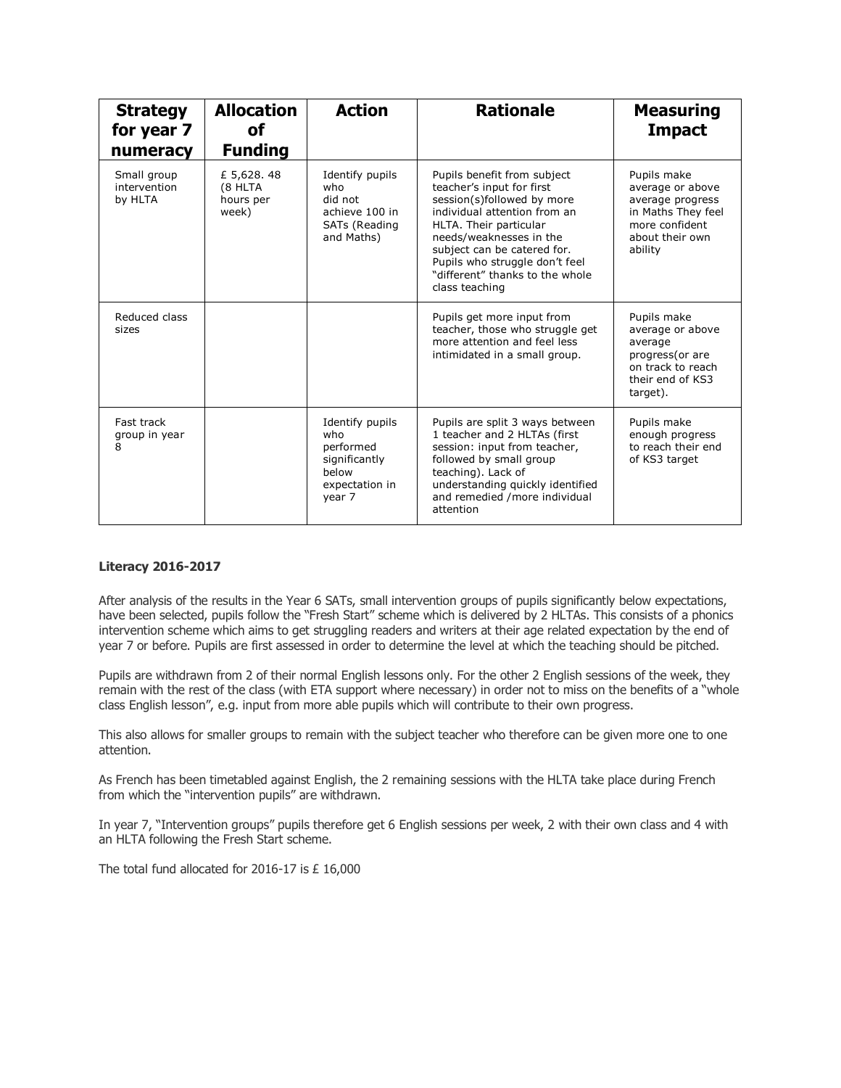| <b>Strategy</b><br>for year 7<br>numeracy | <b>Allocation</b><br><b>of</b><br><b>Funding</b> | <b>Action</b>                                                                             | <b>Rationale</b>                                                                                                                                                                                                                                                                                  | <b>Measuring</b><br><b>Impact</b>                                                                                         |
|-------------------------------------------|--------------------------------------------------|-------------------------------------------------------------------------------------------|---------------------------------------------------------------------------------------------------------------------------------------------------------------------------------------------------------------------------------------------------------------------------------------------------|---------------------------------------------------------------------------------------------------------------------------|
| Small group<br>intervention<br>by HLTA    | £ 5,628.48<br>(8 HLTA<br>hours per<br>week)      | Identify pupils<br>who<br>did not<br>achieve 100 in<br>SATs (Reading<br>and Maths)        | Pupils benefit from subject<br>teacher's input for first<br>session(s)followed by more<br>individual attention from an<br>HLTA. Their particular<br>needs/weaknesses in the<br>subject can be catered for.<br>Pupils who struggle don't feel<br>"different" thanks to the whole<br>class teaching | Pupils make<br>average or above<br>average progress<br>in Maths They feel<br>more confident<br>about their own<br>ability |
| Reduced class<br>sizes                    |                                                  |                                                                                           | Pupils get more input from<br>teacher, those who struggle get<br>more attention and feel less<br>intimidated in a small group.                                                                                                                                                                    | Pupils make<br>average or above<br>average<br>progress(or are<br>on track to reach<br>their end of KS3<br>target).        |
| Fast track<br>group in year<br>8          |                                                  | Identify pupils<br>who<br>performed<br>significantly<br>below<br>expectation in<br>year 7 | Pupils are split 3 ways between<br>1 teacher and 2 HLTAs (first<br>session: input from teacher,<br>followed by small group<br>teaching). Lack of<br>understanding quickly identified<br>and remedied /more individual<br>attention                                                                | Pupils make<br>enough progress<br>to reach their end<br>of KS3 target                                                     |

## **Literacy 2016-2017**

After analysis of the results in the Year 6 SATs, small intervention groups of pupils significantly below expectations, have been selected, pupils follow the "Fresh Start" scheme which is delivered by 2 HLTAs. This consists of a phonics intervention scheme which aims to get struggling readers and writers at their age related expectation by the end of year 7 or before. Pupils are first assessed in order to determine the level at which the teaching should be pitched.

Pupils are withdrawn from 2 of their normal English lessons only. For the other 2 English sessions of the week, they remain with the rest of the class (with ETA support where necessary) in order not to miss on the benefits of a "whole class English lesson", e.g. input from more able pupils which will contribute to their own progress.

This also allows for smaller groups to remain with the subject teacher who therefore can be given more one to one attention.

As French has been timetabled against English, the 2 remaining sessions with the HLTA take place during French from which the "intervention pupils" are withdrawn.

In year 7, "Intervention groups" pupils therefore get 6 English sessions per week, 2 with their own class and 4 with an HLTA following the Fresh Start scheme.

The total fund allocated for 2016-17 is £ 16,000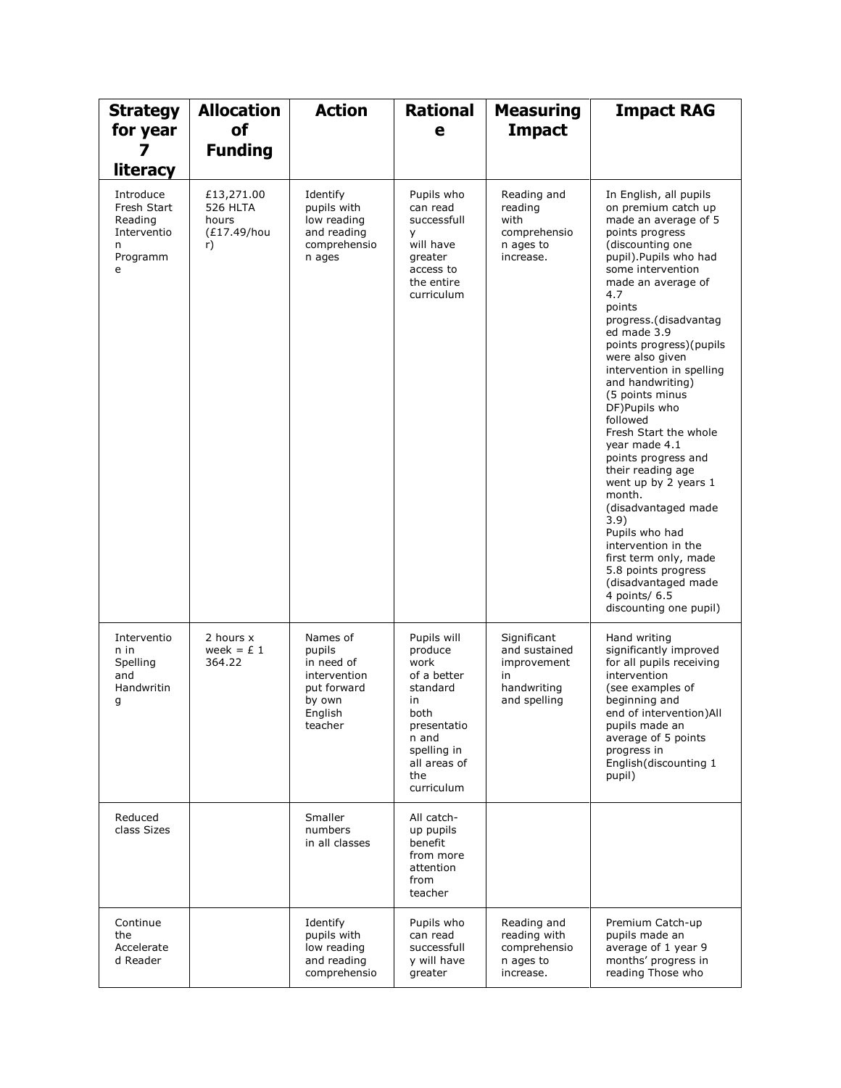| <b>Strategy</b><br>for year<br>7<br>literacy                             | <b>Allocation</b><br>of<br><b>Funding</b>            | <b>Action</b>                                                                                   | <b>Rational</b><br>е                                                                                                                                | <b>Measuring</b><br><b>Impact</b>                                                | <b>Impact RAG</b>                                                                                                                                                                                                                                                                                                                                                                                                                                                                                                                                                                                                                                                                                           |
|--------------------------------------------------------------------------|------------------------------------------------------|-------------------------------------------------------------------------------------------------|-----------------------------------------------------------------------------------------------------------------------------------------------------|----------------------------------------------------------------------------------|-------------------------------------------------------------------------------------------------------------------------------------------------------------------------------------------------------------------------------------------------------------------------------------------------------------------------------------------------------------------------------------------------------------------------------------------------------------------------------------------------------------------------------------------------------------------------------------------------------------------------------------------------------------------------------------------------------------|
| Introduce<br>Fresh Start<br>Reading<br>Interventio<br>n<br>Programm<br>e | £13,271.00<br>526 HLTA<br>hours<br>(£17.49/hou<br>r) | Identify<br>pupils with<br>low reading<br>and reading<br>comprehensio<br>n ages                 | Pupils who<br>can read<br>successfull<br>У<br>will have<br>greater<br>access to<br>the entire<br>curriculum                                         | Reading and<br>reading<br>with<br>comprehensio<br>n ages to<br>increase.         | In English, all pupils<br>on premium catch up<br>made an average of 5<br>points progress<br>(discounting one<br>pupil).Pupils who had<br>some intervention<br>made an average of<br>4.7<br>points<br>progress.(disadvantag<br>ed made 3.9<br>points progress) (pupils<br>were also given<br>intervention in spelling<br>and handwriting)<br>(5 points minus<br>DF) Pupils who<br>followed<br>Fresh Start the whole<br>year made 4.1<br>points progress and<br>their reading age<br>went up by 2 years 1<br>month.<br>(disadvantaged made<br>3.9)<br>Pupils who had<br>intervention in the<br>first term only, made<br>5.8 points progress<br>(disadvantaged made<br>4 points/ 6.5<br>discounting one pupil) |
| Interventio<br>n in<br>Spelling<br>and<br>Handwritin<br>g                | 2 hours x<br>week = $£1$<br>364.22                   | Names of<br>pupils<br>in need of<br>intervention<br>put forward<br>by own<br>English<br>teacher | Pupils will<br>produce<br>work<br>of a better<br>standard<br>in<br>both<br>presentatio<br>n and<br>spelling in<br>all areas of<br>the<br>curriculum | Significant<br>and sustained<br>improvement<br>in<br>handwriting<br>and spelling | Hand writing<br>significantly improved<br>for all pupils receiving<br>intervention<br>(see examples of<br>beginning and<br>end of intervention) All<br>pupils made an<br>average of 5 points<br>progress in<br>English(discounting 1<br>pupil)                                                                                                                                                                                                                                                                                                                                                                                                                                                              |
| Reduced<br>class Sizes                                                   |                                                      | Smaller<br>numbers<br>in all classes                                                            | All catch-<br>up pupils<br>benefit<br>from more<br>attention<br>from<br>teacher                                                                     |                                                                                  |                                                                                                                                                                                                                                                                                                                                                                                                                                                                                                                                                                                                                                                                                                             |
| Continue<br>the<br>Accelerate<br>d Reader                                |                                                      | Identify<br>pupils with<br>low reading<br>and reading<br>comprehensio                           | Pupils who<br>can read<br>successfull<br>y will have<br>greater                                                                                     | Reading and<br>reading with<br>comprehensio<br>n ages to<br>increase.            | Premium Catch-up<br>pupils made an<br>average of 1 year 9<br>months' progress in<br>reading Those who                                                                                                                                                                                                                                                                                                                                                                                                                                                                                                                                                                                                       |